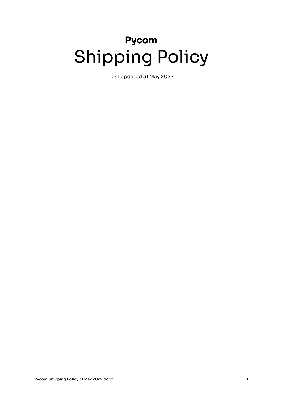# **Pycom** Shipping Policy

Last updated 31 May 2022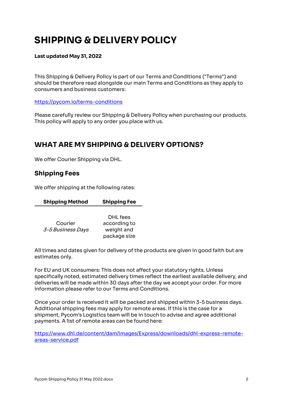# **SHIPPING & DELIVERY POLICY**

#### **Last updated May 31, 2022**

This Shipping & Delivery Policy is part of our Terms and Conditions ("Terms") and should be therefore read alongside our main Terms and Conditions as they apply to consumers and business customers:

https://pycom.io/terms-conditions

Please carefully review our Shipping & Delivery Policy when purchasing our products. This policy will apply to any order you place with us.

# **WHAT ARE MY SHIPPING & DELIVERY OPTIONS?**

We offer Courier Shipping via DHL.

#### **Shipping Fees**

We offer shipping at the following rates:

|                   | DHL fees     |
|-------------------|--------------|
| Courier           | according to |
| 3-5 Business Days | weight and   |
|                   | package size |

**Shipping Method Shipping Fee**

All times and dates given for delivery of the products are given in good faith but are estimates only.

For EU and UK consumers: This does not affect your statutory rights. Unless specifically noted, estimated delivery times reflect the earliest available delivery, and deliveries will be made within 30 days after the day we accept your order. For more information please refer to our Terms and Conditions.

Once your order is received it will be packed and shipped within 3-5 business days. Additional shipping fees may apply for remote areas. If this is the case for a shipment, Pycom's Logistics team will be in touch to advise and agree additional payments. A list of remote areas can be found here:

https://www.dhl.de/content/dam/images/Express/downloads/dhl-express-remoteareas-service.pdf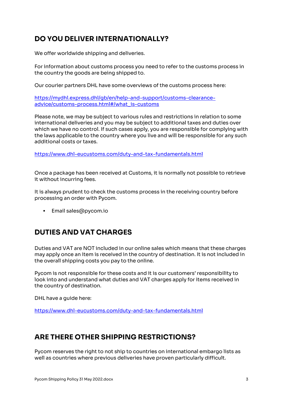# **DO YOU DELIVER INTERNATIONALLY?**

We offer worldwide shipping and deliveries.

For information about customs process you need to refer to the customs process in the country the goods are being shipped to.

Our courier partners DHL have some overviews of the customs process here:

https://mydhl.express.dhl/gb/en/help-and-support/customs-clearanceadvice/customs-process.html#/what\_is-customs

Please note, we may be subject to various rules and restrictions in relation to some international deliveries and you may be subject to additional taxes and duties over which we have no control. If such cases apply, you are responsible for complying with the laws applicable to the country where you live and will be responsible for any such additional costs or taxes.

https://www.dhl-eucustoms.com/duty-and-tax-fundamentals.html

Once a package has been received at Customs, it is normally not possible to retrieve it without incurring fees.

It is always prudent to check the customs process in the receiving country before processing an order with Pycom.

■ Email sales@pycom.io

#### **DUTIES AND VAT CHARGES**

Duties and VAT are NOT included in our online sales which means that these charges may apply once an item is received in the country of destination. It is not included in the overall shipping costs you pay to the online.

Pycom is not responsible for these costs and it is our customers' responsibility to look into and understand what duties and VAT charges apply for items received in the country of destination.

DHL have a guide here:

https://www.dhl-eucustoms.com/duty-and-tax-fundamentals.html

#### **ARE THERE OTHER SHIPPING RESTRICTIONS?**

Pycom reserves the right to not ship to countries on international embargo lists as well as countries where previous deliveries have proven particularly difficult.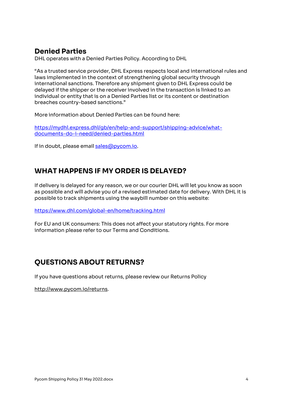# **Denied Parties**

DHL operates with a Denied Parties Policy. According to DHL

"As a trusted service provider, DHL Express respects local and international rules and laws implemented in the context of strengthening global security through international sanctions. Therefore any shipment given to DHL Express could be delayed if the shipper or the receiver involved in the transaction is linked to an individual or entity that is on a Denied Parties list or its content or destination breaches country-based sanctions."

More information about Denied Parties can be found here:

https://mydhl.express.dhl/gb/en/help-and-support/shipping-advice/whatdocuments-do-i-need/denied-parties.html

If in doubt, please email sales@pycom.io.

### **WHAT HAPPENS IF MY ORDER IS DELAYED?**

If delivery is delayed for any reason, we or our courier DHL will let you know as soon as possible and will advise you of a revised estimated date for delivery. With DHL it is possible to track shipments using the waybill number on this website:

https://www.dhl.com/global-en/home/tracking.html

For EU and UK consumers: This does not affect your statutory rights. For more information please refer to our Terms and Conditions.

# **QUESTIONS ABOUT RETURNS?**

If you have questions about returns, please review our Returns Policy

http://www.pycom.io/returns.